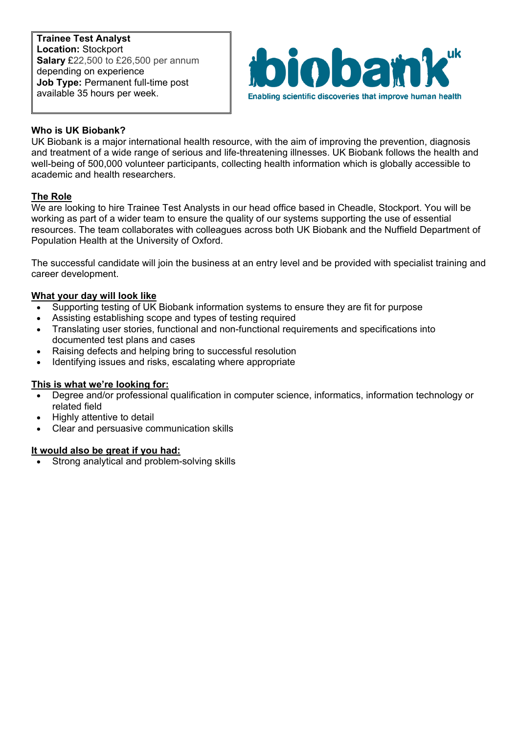**Trainee Test Analyst Location:** Stockport **Salary** £22,500 to £26,500 per annum depending on experience **Job Type:** Permanent full-time post available 35 hours per week.



# **Who is UK Biobank?**

UK Biobank is a major international health resource, with the aim of improving the prevention, diagnosis and treatment of a wide range of serious and life-threatening illnesses. UK Biobank follows the health and well-being of 500,000 volunteer participants, collecting health information which is globally accessible to academic and health researchers.

## **The Role**

We are looking to hire Trainee Test Analysts in our head office based in Cheadle, Stockport. You will be working as part of a wider team to ensure the quality of our systems supporting the use of essential resources. The team collaborates with colleagues across both UK Biobank and the Nuffield Department of Population Health at the University of Oxford.

The successful candidate will join the business at an entry level and be provided with specialist training and career development.

#### **What your day will look like**

- Supporting testing of UK Biobank information systems to ensure they are fit for purpose
- Assisting establishing scope and types of testing required
- Translating user stories, functional and non-functional requirements and specifications into documented test plans and cases
- Raising defects and helping bring to successful resolution
- Identifying issues and risks, escalating where appropriate

## **This is what we're looking for:**

- Degree and/or professional qualification in computer science, informatics, information technology or related field
- Highly attentive to detail
- Clear and persuasive communication skills

## **It would also be great if you had:**

Strong analytical and problem-solving skills